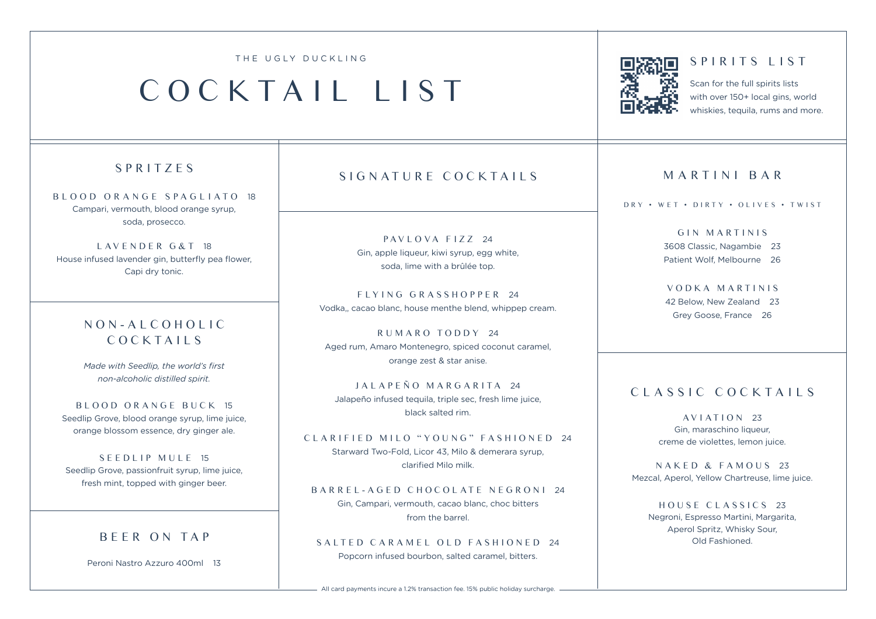#### THE UGLY DUCKLING

# COCKTAIL LIST



### SPIRITS LIST

Scan for the full spirits lists with over 150+ local gins, world whiskies, tequila, rums and more.

# SPRITZES

BLOOD ORANGE SPAGLIATO 18 Campari, vermouth, blood orange syrup, soda, prosecco.

L AV E N D E R G & T 18 House infused lavender gin, butterfly pea flower, Capi dry tonic.

# N O N - A L C O H O L I C COCKTAILS

*Made with Seedlip, the world's first non-alcoholic distilled spirit.* 

BLOOD ORANGE BUCK 15 Seedlip Grove, blood orange syrup, lime juice, orange blossom essence, dry ginger ale.

SEEDLIP MULE 15 Seedlip Grove, passionfruit syrup, lime juice, fresh mint, topped with ginger beer.

# BEER ON TAP

Peroni Nastro Azzuro 400ml 13

# SIGNATURE COCKTAILS

 $PAVI$  O VA  $F177$  24 Gin, apple liqueur, kiwi syrup, egg white, soda, lime with a brûlée top.

FLYING GRASSHOPPER 24 Vodka,, cacao blanc, house menthe blend, whippep cream.

RUMARO TODDY 24 Aged rum, Amaro Montenegro, spiced coconut caramel, orange zest & star anise.

JALAPEÑO MARGARITA 24 Jalapeño infused tequila, triple sec, fresh lime juice, black salted rim.

#### CLARIFIED MILO "YOUNG" FASHIONED 24

Starward Two-Fold, Licor 43, Milo & demerara syrup, clarified Milo milk.

### BARREL-AGED CHOCOLATE NEGRONI 24

Gin, Campari, vermouth, cacao blanc, choc bitters from the barrel.

#### SALTED CARAMEL OLD FASHIONED 24

Popcorn infused bourbon, salted caramel, bitters.

### MARTINI BAR

#### DRY • WET • DIRTY • OLIVES • TWIST

GIN MARTINIS 3608 Classic, Nagambie 23 Patient Wolf, Melbourne 26

VODKA MARTINIS 42 Below, New Zealand 23 Grey Goose, France 26

# CLASSIC COCKTAILS<br>AVIATION 23

Gin, maraschino liqueur, creme de violettes, lemon juice.

NAKED & FAMOUS 23 Mezcal, Aperol, Yellow Chartreuse, lime juice.

HOUSE CLASSICS 23 Negroni, Espresso Martini, Margarita, Aperol Spritz, Whisky Sour, Old Fashioned.

- All card payments incure a 1.2% transaction fee. 15% public holiday surcharge. -